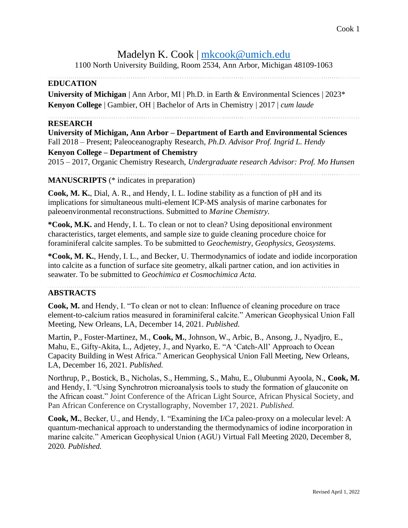# Madelyn K. Cook | [mkcook@umich.edu](mailto:mkcook@umich.edu)

1100 North University Building, Room 2534, Ann Arbor, Michigan 48109-1063

## **EDUCATION**

**University of Michigan** | Ann Arbor, MI | Ph.D. in Earth & Environmental Sciences | 2023\* **Kenyon College** | Gambier, OH | Bachelor of Arts in Chemistry | 2017 | *cum laude* 

#### **RESEARCH**

**University of Michigan, Ann Arbor – Department of Earth and Environmental Sciences** Fall 2018 – Present; Paleoceanography Research, *Ph.D. Advisor Prof. Ingrid L. Hendy* **Kenyon College – Department of Chemistry** 2015 – 2017, Organic Chemistry Research, *Undergraduate research Advisor: Prof. Mo Hunsen*

**MANUSCRIPTS** (\* indicates in preparation)

**Cook, M. K.**, Dial, A. R., and Hendy, I. L. Iodine stability as a function of pH and its implications for simultaneous multi-element ICP-MS analysis of marine carbonates for paleoenvironmental reconstructions. Submitted to *Marine Chemistry.*

**\*Cook, M.K.** and Hendy, I. L. To clean or not to clean? Using depositional environment characteristics, target elements, and sample size to guide cleaning procedure choice for foraminiferal calcite samples. To be submitted to *Geochemistry, Geophysics, Geosystems.*

**\*Cook, M. K.**, Hendy, I. L.*,* and Becker, U. Thermodynamics of iodate and iodide incorporation into calcite as a function of surface site geometry, alkali partner cation, and ion activities in seawater. To be submitted to *Geochimica et Cosmochimica Acta.*

#### **ABSTRACTS**

**Cook, M.** and Hendy, I. "To clean or not to clean: Influence of cleaning procedure on trace element-to-calcium ratios measured in foraminiferal calcite." American Geophysical Union Fall Meeting, New Orleans, LA, December 14, 2021. *Published.*

Martin, P., Foster-Martinez, M., **Cook, M.**, Johnson, W., Arbic, B., Ansong, J., Nyadjro, E., Mahu, E., Gifty-Akita, L., Adjetey, J., and Nyarko, E. "A 'Catch-All' Approach to Ocean Capacity Building in West Africa." American Geophysical Union Fall Meeting, New Orleans, LA, December 16, 2021. *Published.*

Northrup, P., Bostick, B., Nicholas, S., Hemming, S., Mahu, E., Olubunmi Ayoola, N., **Cook, M.** and Hendy, I. "Using Synchrotron microanalysis tools to study the formation of glauconite on the African coast." Joint Conference of the African Light Source, African Physical Society, and Pan African Conference on Crystallography, November 17, 2021. *Published.*

**Cook, M.**, Becker, U., and Hendy, I. "Examining the I/Ca paleo-proxy on a molecular level: A quantum-mechanical approach to understanding the thermodynamics of iodine incorporation in marine calcite." American Geophysical Union (AGU) Virtual Fall Meeting 2020, December 8, 2020*. Published.*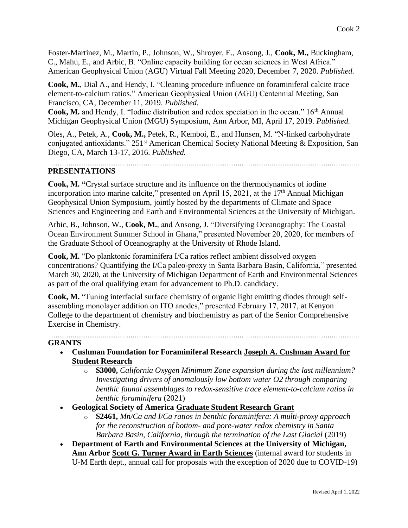Foster-Martinez, M., Martin, P., Johnson, W., Shroyer, E., Ansong, J., **Cook, M.,** Buckingham, C., Mahu, E., and Arbic, B. "Online capacity building for ocean sciences in West Africa." American Geophysical Union (AGU) Virtual Fall Meeting 2020, December 7, 2020*. Published.*

**Cook, M.**, Dial A., and Hendy, I. "Cleaning procedure influence on foraminiferal calcite trace element-to-calcium ratios." American Geophysical Union (AGU) Centennial Meeting, San Francisco, CA, December 11, 2019*. Published.*

Cook, M. and Hendy, I. "Iodine distribution and redox speciation in the ocean." 16<sup>th</sup> Annual Michigan Geophysical Union (MGU) Symposium, Ann Arbor, MI, April 17, 2019. *Published.*

Oles, A., Petek, A., **Cook, M.,** Petek, R., Kemboi, E., and Hunsen, M. "N-linked carbohydrate conjugated antioxidants." 251<sup>st</sup> American Chemical Society National Meeting & Exposition, San Diego, CA, March 13-17, 2016. *Published.*

## **PRESENTATIONS**

**Cook, M. "**Crystal surface structure and its influence on the thermodynamics of iodine incorporation into marine calcite," presented on April 15, 2021, at the  $17<sup>th</sup>$  Annual Michigan Geophysical Union Symposium, jointly hosted by the departments of Climate and Space Sciences and Engineering and Earth and Environmental Sciences at the University of Michigan.

Arbic, B., Johnson, W., **Cook, M.**, and Ansong, J. "Diversifying Oceanography: The Coastal Ocean Environment Summer School in Ghana," presented November 20, 2020, for members of the Graduate School of Oceanography at the University of Rhode Island.

**Cook, M.** "Do planktonic foraminifera I/Ca ratios reflect ambient dissolved oxygen concentrations? Quantifying the I/Ca paleo-proxy in Santa Barbara Basin, California," presented March 30, 2020, at the University of Michigan Department of Earth and Environmental Sciences as part of the oral qualifying exam for advancement to Ph.D. candidacy.

**Cook, M.** "Tuning interfacial surface chemistry of organic light emitting diodes through selfassembling monolayer addition on ITO anodes," presented February 17, 2017, at Kenyon College to the department of chemistry and biochemistry as part of the Senior Comprehensive Exercise in Chemistry.

#### **GRANTS**

- **Cushman Foundation for Foraminiferal Research Joseph A. Cushman Award for Student Research**
	- o **\$3000,** *California Oxygen Minimum Zone expansion during the last millennium? Investigating drivers of anomalously low bottom water O2 through comparing benthic faunal assemblages to redox-sensitive trace element-to-calcium ratios in benthic foraminifera* (2021)

- **Geological Society of America Graduate Student Research Grant**
	- o **\$2461,** *Mn/Ca and I/Ca ratios in benthic foraminifera: A multi-proxy approach for the reconstruction of bottom- and pore-water redox chemistry in Santa Barbara Basin, California, through the termination of the Last Glacial* (2019)
- **Department of Earth and Environmental Sciences at the University of Michigan, Ann Arbor Scott G. Turner Award in Earth Sciences** (internal award for students in U-M Earth dept., annual call for proposals with the exception of 2020 due to COVID-19)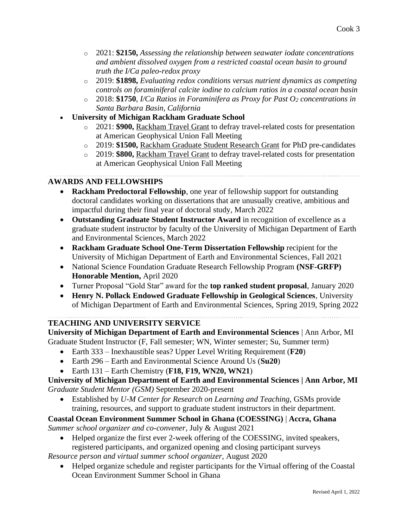- o 2021: **\$2150,** *Assessing the relationship between seawater iodate concentrations and ambient dissolved oxygen from a restricted coastal ocean basin to ground truth the I/Ca paleo-redox proxy*
- o 2019: **\$1898,** *Evaluating redox conditions versus nutrient dynamics as competing controls on foraminiferal calcite iodine to calcium ratios in a coastal ocean basin*
- o 2018: **\$1750**, *I/Ca Ratios in Foraminifera as Proxy for Past O<sup>2</sup> concentrations in Santa Barbara Basin, California*
- **University of Michigan Rackham Graduate School**
	- o 2021: **\$900,** Rackham Travel Grant to defray travel-related costs for presentation at American Geophysical Union Fall Meeting
	- o 2019: **\$1500,** Rackham Graduate Student Research Grant for PhD pre-candidates
	- o 2019: **\$800,** Rackham Travel Grant to defray travel-related costs for presentation at American Geophysical Union Fall Meeting

#### **AWARDS AND FELLOWSHIPS**

- **Rackham Predoctoral Fellowship**, one year of fellowship support for outstanding doctoral candidates working on dissertations that are unusually creative, ambitious and impactful during their final year of doctoral study, March 2022
- **Outstanding Graduate Student Instructor Award** in recognition of excellence as a graduate student instructor by faculty of the University of Michigan Department of Earth and Environmental Sciences, March 2022
- **Rackham Graduate School One-Term Dissertation Fellowship** recipient for the University of Michigan Department of Earth and Environmental Sciences, Fall 2021
- National Science Foundation Graduate Research Fellowship Program **(NSF-GRFP) Honorable Mention,** April 2020
- Turner Proposal "Gold Star" award for the **top ranked student proposal**, January 2020
- **Henry N. Pollack Endowed Graduate Fellowship in Geological Sciences**, University of Michigan Department of Earth and Environmental Sciences, Spring 2019, Spring 2022

#### **TEACHING AND UNIVERSITY SERVICE**

**University of Michigan Department of Earth and Environmental Sciences** | Ann Arbor, MI Graduate Student Instructor (F, Fall semester; WN, Winter semester; Su, Summer term)

- Earth 333 Inexhaustible seas? Upper Level Writing Requirement (**F20**)
- Earth 296 Earth and Environmental Science Around Us (**Su20**)
- Earth 131 Earth Chemistry (**F18, F19, WN20, WN21**)

#### **University of Michigan Department of Earth and Environmental Sciences | Ann Arbor, MI** *Graduate Student Mentor (GSM)* September 2020-present

• Established by *U-M Center for Research on Learning and Teaching,* GSMs provide training, resources, and support to graduate student instructors in their department.

## **Coastal Ocean Environment Summer School in Ghana (COESSING)** | **Accra, Ghana** *Summer school organizer and co-convener,* July & August 2021

• Helped organize the first ever 2-week offering of the COESSING, invited speakers, registered participants, and organized opening and closing participant surveys

*Resource person and virtual summer school organizer,* August 2020

• Helped organize schedule and register participants for the Virtual offering of the Coastal Ocean Environment Summer School in Ghana